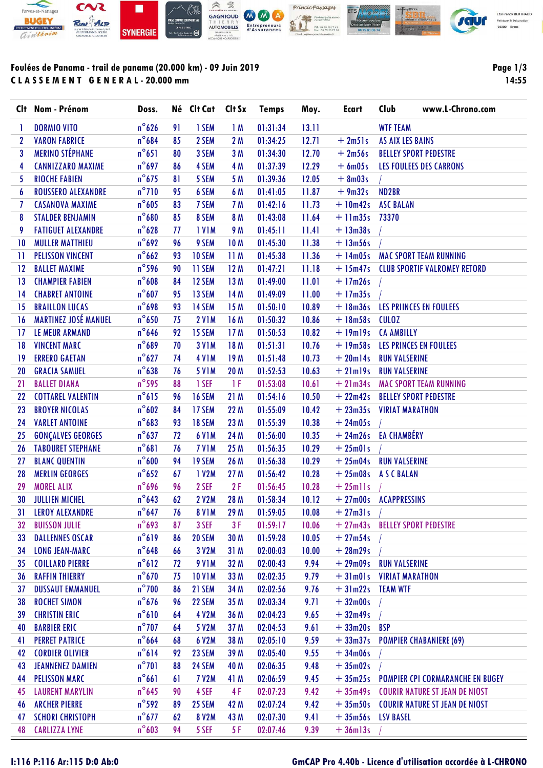

# **Foulées de Panama - trail de panama (20.000 km) - 09 Juin 2019 C L A S S E M E N T G E N E R A L - 20.000 mm**

**Page 1/3 14:55**

|                  | Clt Nom - Prénom            | Doss.              |    | Né Clt Cat Clt Sx  |                 | <b>Temps</b> | Moy.  | <b>Ecart</b>                    | Club                    | www.L-Chrono.com                        |
|------------------|-----------------------------|--------------------|----|--------------------|-----------------|--------------|-------|---------------------------------|-------------------------|-----------------------------------------|
| 1                | <b>DORMIO VITO</b>          | $n^{\circ}$ 626    | 91 | 1 SEM              | 1M              | 01:31:34     | 13.11 |                                 | <b>WTF TEAM</b>         |                                         |
| $\mathbf 2$      | <b>VARON FABRICE</b>        | $n^{\circ}684$     | 85 | 2 SEM              | 2 M             | 01:34:25     | 12.71 | $+2m51s$                        | <b>AS AIX LES BAINS</b> |                                         |
| 3                | <b>MERINO STÉPHANE</b>      | $n^{\circ}651$     | 80 | 3 SEM              | 3M              | 01:34:30     | 12.70 | $+2m56s$                        |                         | <b>BELLEY SPORT PEDESTRE</b>            |
| 4                | <b>CANNIZZARO MAXIME</b>    | $n^{\circ}697$     | 86 | 4 SEM              | 4 M             | 01:37:39     | 12.29 | $+6m05s$                        |                         | <b>LES FOULEES DES CARRONS</b>          |
| 5                | <b>RIOCHE FABIEN</b>        | $n^{\circ}$ 675    | 81 | 5 SEM              | 5 M             | 01:39:36     | 12.05 | $+8m03s$                        |                         |                                         |
| $\boldsymbol{6}$ | <b>ROUSSERO ALEXANDRE</b>   | $n^{\circ}$ 710    | 95 | 6 SEM              | 6 M             | 01:41:05     | 11.87 | $+9m32s$                        | ND <sub>2</sub> BR      |                                         |
| 7                | <b>CASANOVA MAXIME</b>      | $n^{\circ}605$     | 83 | 7 SEM              | 7 M             | 01:42:16     | 11.73 | $+10m42s$                       | <b>ASC BALAN</b>        |                                         |
| 8                | <b>STALDER BENJAMIN</b>     | $n^{\circ}680$     | 85 | 8 SEM              | 8 M             | 01:43:08     | 11.64 | $+11m35s$ 73370                 |                         |                                         |
| 9                | <b>FATIGUET ALEXANDRE</b>   | $n^{\circ}628$     | 77 | <b>IVIM</b>        | 9 M             | 01:45:11     | 11.41 | $+ 13m38s$                      |                         |                                         |
| 10               | <b>MULLER MATTHIEU</b>      | $n^{\circ}692$     | 96 | 9 SEM              | 10 <sub>M</sub> | 01:45:30     | 11.38 | $+ 13m56s$                      |                         |                                         |
| 11               | <b>PELISSON VINCENT</b>     | $n^{\circ}$ 662    | 93 | 10 SEM             | 11M             | 01:45:38     | 11.36 | $+14m05s$                       |                         | <b>MAC SPORT TEAM RUNNING</b>           |
| 12               | <b>BALLET MAXIME</b>        | $n^{\circ}$ 596    | 90 | 11 SEM             | 12M             | 01:47:21     | 11.18 |                                 |                         | + 15m47s CLUB SPORTIF VALROMEY RETORD   |
| 13               | <b>CHAMPIER FABIEN</b>      | $n^{\circ}608$     | 84 | 12 SEM             | 13 M            | 01:49:00     | 11.01 | $+17m26s$                       |                         |                                         |
| 14               | <b>CHABRET ANTOINE</b>      | $n^{\circ}607$     | 95 | 13 SEM             | 14M             | 01:49:09     | 11.00 | $+17m35s$                       |                         |                                         |
| 15               | <b>BRAILLON LUCAS</b>       | $n^{\circ}698$     | 93 | 14 SEM             | 15M             | 01:50:10     | 10.89 |                                 |                         | + 18m36s LES PRIINCES EN FOULEES        |
| 16               | <b>MARTINEZ JOSÉ MANUEL</b> | $n^{\circ}$ 650    | 75 | <b>2 V1M</b>       | 16 M            | 01:50:32     | 10.86 | $+18m58s$                       | <b>CULOZ</b>            |                                         |
| 17               | LE MEUR ARMAND              | $n^{\circ}$ 646    | 92 | 15 SEM             | 17 <sub>M</sub> | 01:50:53     | 10.82 | $+19m19s$                       | <b>CA AMBILLY</b>       |                                         |
| 18               | <b>VINCENT MARC</b>         | $n^{\circ}689$     | 70 | <b>3 V1M</b>       | 18 M            | 01:51:31     | 10.76 |                                 |                         | + 19m58s LES PRINCES EN FOULEES         |
| 19               | <b>ERRERO GAETAN</b>        | $n^{\circ}627$     | 74 | <b>4 V1M</b>       | 19M             | 01:51:48     | 10.73 | $+20m14s$                       | <b>RUN VALSERINE</b>    |                                         |
| 20               | <b>GRACIA SAMUEL</b>        | $n^{\circ}$ 638    | 76 | <b>5 V1M</b>       | 20 M            | 01:52:53     | 10.63 | $+21m19s$                       | <b>RUN VALSERINE</b>    |                                         |
| 21               | <b>BALLET DIANA</b>         | $n^{\circ}$ 595    | 88 | 1 SEF              | 1 F             | 01:53:08     | 10.61 |                                 |                         | + 21m34s MAC SPORT TEAM RUNNING         |
| 22               | <b>COTTAREL VALENTIN</b>    | $n^{\circ}615$     | 96 | <b>16 SEM</b>      | 21M             | 01:54:16     | 10.50 | $+22m42s$                       |                         | <b>BELLEY SPORT PEDESTRE</b>            |
| 23               | <b>BROYER NICOLAS</b>       | $n^{\circ}602$     | 84 | 17 SEM             | 22 M            | 01:55:09     | 10.42 | $+23m35s$                       | <b>VIRIAT MARATHON</b>  |                                         |
| 24               | <b>VARLET ANTOINE</b>       | $n^{\circ}683$     | 93 | <b>18 SEM</b>      | 23 M            | 01:55:39     | 10.38 | $+24m05s$                       |                         |                                         |
| 25               | <b>GONÇALVES GEORGES</b>    | $n^{\circ}637$     | 72 | <b>6 V1M</b>       | 24 M            | 01:56:00     | 10.35 | + 24m26s EA CHAMBÉRY            |                         |                                         |
| 26               | <b>TABOURET STEPHANE</b>    | $n^{\circ}681$     | 76 | 7 V <sub>1</sub> M | 25 M            | 01:56:35     | 10.29 | $+25m01s$                       |                         |                                         |
| 27               | <b>BLANC QUENTIN</b>        | $n^{\circ}600$     | 94 | 19 SEM             | 26 M            | 01:56:38     | 10.29 | + 25m04s RUN VALSERINE          |                         |                                         |
| 28               | <b>MERLIN GEORGES</b>       | $n^{\circ}652$     | 67 | 1 V2M              | 27 M            | 01:56:42     | 10.28 | $+25m08s$                       | <b>ASCBALAN</b>         |                                         |
| 29               | <b>MOREL ALIX</b>           | $n^{\circ}$ 696    | 96 | 2 SEF              | 2F              | 01:56:45     | 10.28 | $+25$ mlls                      |                         |                                         |
| 30               | <b>JULLIEN MICHEL</b>       | $n^{\circ}$ 643    | 62 | <b>2 V2M</b>       | 28 M            | 01:58:34     | 10.12 | + 27m00s ACAPPRESSINS           |                         |                                         |
|                  | 31 LEROY ALEXANDRE          | $n^{\circ}$ 647 76 |    | <b>8 V1M</b>       | 29 M            |              |       | $01:59:05$ $10.08$ $+ 27m31s$ / |                         |                                         |
| 32               | <b>BUISSON JULIE</b>        | $n^{\circ}$ 693    | 87 | 3 SEF              | 3F              | 01:59:17     | 10.06 | $+27m43s$                       |                         | <b>BELLEY SPORT PEDESTRE</b>            |
| 33               | <b>DALLENNES OSCAR</b>      | $n^{\circ}619$     | 86 | 20 SEM             | 30 M            | 01:59:28     | 10.05 | $+27m54s$                       |                         |                                         |
| 34               | <b>LONG JEAN-MARC</b>       | $n^{\circ}$ 648    | 66 | 3 V2M              | 31M             | 02:00:03     | 10.00 | $+28m29s$                       |                         |                                         |
| 35               | <b>COILLARD PIERRE</b>      | $n^{\circ}612$     | 72 | <b>9 V1M</b>       | 32 M            | 02:00:43     | 9.94  | $+29m09s$                       | <b>RUN VALSERINE</b>    |                                         |
| 36               | <b>RAFFIN THIERRY</b>       | $n^{\circ}$ 670    | 75 | <b>10 V1M</b>      | 33 M            | 02:02:35     | 9.79  | $+31m01s$                       | <b>VIRIAT MARATHON</b>  |                                         |
| 37               | <b>DUSSAUT EMMANUEL</b>     | $n^{\circ}$ 700    | 86 | 21 SEM             | 34 M            | 02:02:56     | 9.76  | $+31m22s$                       | <b>TEAM WTF</b>         |                                         |
| 38               | <b>ROCHET SIMON</b>         | $n^{\circ}$ 676    | 96 | 22 SEM             | 35 M            | 02:03:34     | 9.71  | $+32m00s$                       |                         |                                         |
| 39               | <b>CHRISTIN ERIC</b>        | $n^{\circ}610$     | 64 | <b>4 V2M</b>       | 36 M            | 02:04:23     | 9.65  | $+32m49s$                       |                         |                                         |
| 40               | <b>BARBIER ERIC</b>         | $n^{\circ}$ 707    | 64 | 5 V2M              | 37 M            | 02:04:53     | 9.61  | $+33m20s$                       | <b>BSP</b>              |                                         |
| 41               | <b>PERRET PATRICE</b>       | $n^{\circ}$ 664    | 68 | 6 V2M              | 38 M            | 02:05:10     | 9.59  | $+33m37s$                       |                         | <b>POMPIER CHABANIERE (69)</b>          |
| 42               | <b>CORDIER OLIVIER</b>      | $n^{\circ}614$     | 92 | 23 SEM             | 39 M            | 02:05:40     | 9.55  | $+34m06s$                       |                         |                                         |
| 43               | <b>JEANNENEZ DAMIEN</b>     | $n^{\circ}$ 701    | 88 | 24 SEM             | 40 M            | 02:06:35     | 9.48  | $+35m02s$                       |                         |                                         |
| 44               | <b>PELISSON MARC</b>        | $n^{\circ}661$     | 61 | <b>7 V2M</b>       | 41 M            | 02:06:59     | 9.45  | $+35m25s$                       |                         | <b>POMPIER CPI CORMARANCHE EN BUGEY</b> |
| 45               | <b>LAURENT MARYLIN</b>      | $n^{\circ}$ 645    | 90 | 4 SEF              | 4F              | 02:07:23     | 9.42  | $+35m49s$                       |                         | <b>COURIR NATURE ST JEAN DE NIOST</b>   |
| 46               | <b>ARCHER PIERRE</b>        | $n^{\circ}$ 592    | 89 | 25 SEM             | 42 M            | 02:07:24     | 9.42  | $+35m50s$                       |                         | <b>COURIR NATURE ST JEAN DE NIOST</b>   |
| 47               | <b>SCHORI CHRISTOPH</b>     | $n^{\circ}$ 677    | 62 | <b>8 V2M</b>       | 43 M            | 02:07:30     | 9.41  | $+35m56s$                       | <b>LSV BASEL</b>        |                                         |
| 48               | <b>CARLIZZA LYNE</b>        | $n^{\circ}603$     | 94 | 5 SEF              | 5F              | 02:07:46     | 9.39  | $+36$ ml $3s$                   |                         |                                         |

#### **I:116 P:116 Ar:115 D:0 Ab:0 GmCAP Pro 4.40b - Licence d'utilisation accordée à L-CHRONO**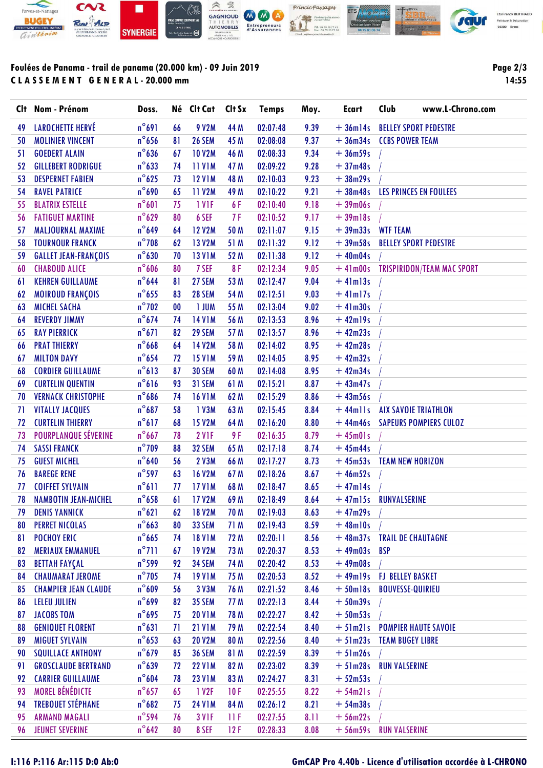

# **Foulées de Panama - trail de panama (20.000 km) - 09 Juin 2019 C L A S S E M E N T G E N E R A L - 20.000 mm**

**Page 2/3 14:55**

|    | Clt Nom - Prénom            | Doss.           |           | Né Clt Cat    | Clt Sx | <b>Temps</b> | Moy. | <b>Ecart</b>   | Club                      | www.L-Chrono.com                   |
|----|-----------------------------|-----------------|-----------|---------------|--------|--------------|------|----------------|---------------------------|------------------------------------|
| 49 | <b>LAROCHETTE HERVÉ</b>     | $n^{\circ}691$  | 66        | 9 V2M         | 44 M   | 02:07:48     | 9.39 | $+36m14s$      |                           | <b>BELLEY SPORT PEDESTRE</b>       |
| 50 | <b>MOLINIER VINCENT</b>     | $n^{\circ}$ 656 | 81        | <b>26 SEM</b> | 45 M   | 02:08:08     | 9.37 | $+36m34s$      | <b>CCBS POWER TEAM</b>    |                                    |
| 51 | <b>GOEDERT ALAIN</b>        | $n^{\circ}$ 636 | 67        | <b>10 V2M</b> | 46 M   | 02:08:33     | 9.34 | $+36m59s$      |                           |                                    |
| 52 | <b>GILLEBERT RODRIGUE</b>   | $n^{\circ}$ 633 | 74        | <b>11 V1M</b> | 47 M   | 02:09:22     | 9.28 | $+37m48s$      |                           |                                    |
| 53 | <b>DESPERNET FABIEN</b>     | $n^{\circ}625$  | 73        | <b>12 V1M</b> | 48 M   | 02:10:03     | 9.23 | $+38m29s$      |                           |                                    |
| 54 | <b>RAVEL PATRICE</b>        | $n^{\circ}$ 690 | 65        | <b>11 V2M</b> | 49 M   | 02:10:22     | 9.21 | $+38m48s$      |                           | LES PRINCES EN FOULEES             |
| 55 | <b>BLATRIX ESTELLE</b>      | $n^{\circ}601$  | 75        | 1 VIF         | 6 F    | 02:10:40     | 9.18 | $+39m06s$      |                           |                                    |
| 56 | <b>FATIGUET MARTINE</b>     | $n^{\circ}629$  | 80        | 6 SEF         | 7F     | 02:10:52     | 9.17 | $+39$ ml8s     |                           |                                    |
| 57 | MALJOURNAL MAXIME           | $n^{\circ}649$  | 64        | <b>12 V2M</b> | 50 M   | 02:11:07     | 9.15 | $+39m33s$      | <b>WTF TEAM</b>           |                                    |
| 58 | <b>TOURNOUR FRANCK</b>      | $n^{\circ}$ 708 | 62        | <b>13 V2M</b> | 51 M   | 02:11:32     | 9.12 | $+39m58s$      |                           | <b>BELLEY SPORT PEDESTRE</b>       |
| 59 | <b>GALLET JEAN-FRANÇOIS</b> | $n^{\circ}630$  | 70        | <b>13 V1M</b> | 52 M   | 02:11:38     | 9.12 | $+40m04s$      |                           |                                    |
| 60 | <b>CHABOUD ALICE</b>        | $n^{\circ}606$  | 80        | 7 SEF         | 8F     | 02:12:34     | 9.05 |                |                           | +41m00s TRISPIRIDON/TEAM MAC SPORT |
| 61 | <b>KEHREN GUILLAUME</b>     | $n^{\circ}$ 644 | 81        | 27 SEM        | 53 M   | 02:12:47     | 9.04 | $+$ 41m13s     |                           |                                    |
| 62 | <b>MOIROUD FRANÇOIS</b>     | $n^{\circ}$ 655 | 83        | <b>28 SEM</b> | 54 M   | 02:12:51     | 9.03 | $+4$ lm $17s$  |                           |                                    |
| 63 | <b>MICHEL SACHA</b>         | $n^{\circ}$ 702 | $\bf{00}$ | <b>I JUM</b>  | 55 M   | 02:13:04     | 9.02 | $+4$ lm $30s$  |                           |                                    |
| 64 | <b>REVERDY JIMMY</b>        | $n^{\circ}$ 674 | 74        | <b>14 V1M</b> | 56 M   | 02:13:53     | 8.96 | $+42ml9s$      |                           |                                    |
| 65 | <b>RAY PIERRICK</b>         | $n^{\circ}671$  | 82        | 29 SEM        | 57 M   | 02:13:57     | 8.96 | $+42m23s$      |                           |                                    |
| 66 | <b>PRAT THIERRY</b>         | $n^{\circ}$ 668 | 64        | 14 V2M        | 58 M   | 02:14:02     | 8.95 | $+42m28s$      |                           |                                    |
| 67 | <b>MILTON DAVY</b>          | $n^{\circ}$ 654 | 72        | <b>15 V1M</b> | 59 M   | 02:14:05     | 8.95 | $+42m32s$      |                           |                                    |
| 68 | <b>CORDIER GUILLAUME</b>    | $n^{\circ}613$  | 87        | <b>30 SEM</b> | 60 M   | 02:14:08     | 8.95 | $+42m34s$      |                           |                                    |
| 69 | <b>CURTELIN QUENTIN</b>     | $n^{\circ}616$  | 93        | 31 SEM        | 61 M   | 02:15:21     | 8.87 | $+43m47s$      |                           |                                    |
| 70 | <b>VERNACK CHRISTOPHE</b>   | $n^{\circ}$ 686 | 74        | <b>16 V1M</b> | 62 M   | 02:15:29     | 8.86 | $+43m56s$      |                           |                                    |
| 71 | <b>VITALLY JACQUES</b>      | $n^{\circ}687$  | 58        | 1 V3M         | 63 M   | 02:15:45     | 8.84 | $+44$ mlls     |                           | <b>AIX SAVOIE TRIATHLON</b>        |
| 72 | <b>CURTELIN THIERRY</b>     | $n^{\circ}617$  | 68        | <b>15 V2M</b> | 64 M   | 02:16:20     | 8.80 | $+44m46s$      |                           | <b>SAPEURS POMPIERS CULOZ</b>      |
| 73 | POURPLANQUE SÉVERINE        | $n^{\circ}$ 667 | 78        | 2 VIF         | 9 F    | 02:16:35     | 8.79 | $+45m01s$      |                           |                                    |
| 74 | <b>SASSI FRANCK</b>         | $n^{\circ}$ 709 | 88        | <b>32 SEM</b> | 65 M   | 02:17:18     | 8.74 | $+45m44s$      |                           |                                    |
| 75 | <b>GUEST MICHEL</b>         | $n^{\circ}$ 640 | 56        | 2 V3M         | 66 M   | 02:17:27     | 8.73 | $+45m53s$      | <b>TEAM NEW HORIZON</b>   |                                    |
| 76 | <b>BAREGE RENE</b>          | $n^{\circ}$ 597 | 63        | <b>16 V2M</b> | 67 M   | 02:18:26     | 8.67 | $+46m52s$      |                           |                                    |
| 77 | <b>COIFFET SYLVAIN</b>      | $n^{\circ}611$  | 77        | <b>17 V1M</b> | 68 M   | 02:18:47     | 8.65 | $+47ml4s$      |                           |                                    |
| 78 | <b>NAMBOTIN JEAN-MICHEL</b> | $n^{\circ}$ 658 | 61        | <b>17 V2M</b> | 69 M   | 02:18:49     | 8.64 | $+47m15s$      | RUNVALSERINE              |                                    |
| 79 | <b>DENIS YANNICK</b>        | $n^{\circ}621$  | 62        | <b>18 V2M</b> | 70 M   | 02:19:03     | 8.63 | $+47m29s$      |                           |                                    |
| 80 | <b>PERRET NICOLAS</b>       | $n^{\circ}$ 663 | 80        | <b>33 SEM</b> | 71 M   | 02:19:43     | 8.59 | $+48$ ml $0s$  |                           |                                    |
| 81 | <b>POCHOY ERIC</b>          | $n^{\circ}$ 665 | 74        | <b>18 V1M</b> | 72 M   | 02:20:11     | 8.56 | $+48m37s$      | <b>TRAIL DE CHAUTAGNE</b> |                                    |
| 82 | <b>MERIAUX EMMANUEL</b>     | $n^{\circ}$ 711 | 67        | <b>19 V2M</b> | 73 M   | 02:20:37     | 8.53 | $+49m03s$      | <b>BSP</b>                |                                    |
| 83 | <b>BETTAH FAYÇAL</b>        | $n^{\circ}$ 599 | 92        | <b>34 SEM</b> | 74 M   | 02:20:42     | 8.53 | $+49m08s$      |                           |                                    |
| 84 | <b>CHAUMARAT JEROME</b>     | $n^{\circ}$ 705 | 74        | <b>19 V1M</b> | 75 M   | 02:20:53     | 8.52 | $+49m19s$      | <b>FJ BELLEY BASKET</b>   |                                    |
| 85 | <b>CHAMPIER JEAN CLAUDE</b> | $n^{\circ}609$  | 56        | 3 V3M         | 76 M   | 02:21:52     | 8.46 | $+50$ ml $8s$  | <b>BOUVESSE-QUIRIEU</b>   |                                    |
| 86 | <b>LELEU JULIEN</b>         | $n^{\circ}$ 699 | 82        | <b>35 SEM</b> | 77 M   | 02:22:13     | 8.44 | $+50m39s$      |                           |                                    |
| 87 | <b>JACOBS TOM</b>           | $n^{\circ}$ 695 | 75        | <b>20 V1M</b> | 78 M   | 02:22:27     | 8.42 | $+50m53s$      |                           |                                    |
| 88 | <b>GENIQUET FLORENT</b>     | $n^{\circ}631$  | 71        | <b>21 V1M</b> | 79 M   | 02:22:54     | 8.40 | $+5$ lm $2$ ls |                           | <b>POMPIER HAUTE SAVOIE</b>        |
| 89 | <b>MIGUET SYLVAIN</b>       | $n^{\circ}$ 653 | 63        | <b>20 V2M</b> | 80 M   | 02:22:56     | 8.40 | $+51m23s$      | <b>TEAM BUGEY LIBRE</b>   |                                    |
| 90 | <b>SQUILLACE ANTHONY</b>    | $n^{\circ}$ 679 | 85        | <b>36 SEM</b> | 81 M   | 02:22:59     | 8.39 | $+51m26s$      |                           |                                    |
| 91 | <b>GROSCLAUDE BERTRAND</b>  | $n^{\circ}$ 639 | 72        | <b>22 V1M</b> | 82 M   | 02:23:02     | 8.39 | $+51m28s$      | <b>RUN VALSERINE</b>      |                                    |
| 92 | <b>CARRIER GUILLAUME</b>    | $n^{\circ}604$  | 78        | <b>23 V1M</b> | 83 M   | 02:24:27     | 8.31 | $+52m53s$      |                           |                                    |
| 93 | <b>MOREL BÉNÉDICTE</b>      | $n^{\circ}$ 657 | 65        | 1 V2F         | 10F    | 02:25:55     | 8.22 | $+ 54m21s$     |                           |                                    |
| 94 | <b>TREBOUET STÉPHANE</b>    | $n^{\circ}682$  | 75        | <b>24 V1M</b> | 84 M   | 02:26:12     | 8.21 | $+54m38s$      |                           |                                    |
| 95 | <b>ARMAND MAGALI</b>        | $n^{\circ}$ 594 | 76        | <b>3 V1F</b>  | 11F    | 02:27:55     | 8.11 | $+56m22s$      |                           |                                    |
| 96 | <b>JEUNET SEVERINE</b>      | $n^{\circ}$ 642 | 80        | 8 SEF         | 12F    | 02:28:33     | 8.08 | $+56m59s$      | <b>RUN VALSERINE</b>      |                                    |

### **I:116 P:116 Ar:115 D:0 Ab:0 GmCAP Pro 4.40b - Licence d'utilisation accordée à L-CHRONO**